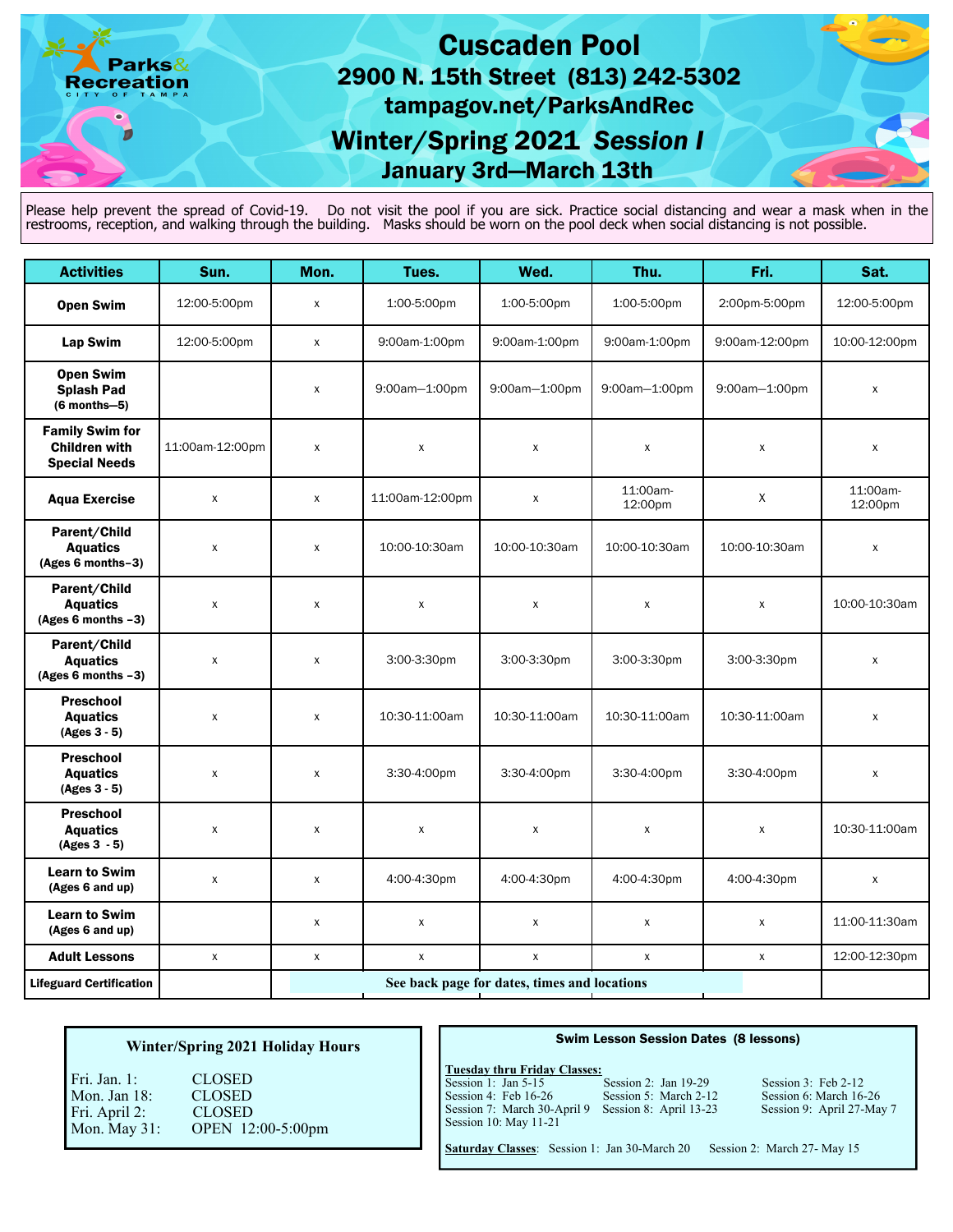## Cuscaden Pool arks& 2900 N. 15th Street (813) 242-5302 reation tampagov.net/ParksAndRec Winter/Spring 2021 *Session I*  January 3rd—March 13th

Please help prevent the spread of Covid-19. Do not visit the pool if you are sick. Practice social distancing and wear a mask when in the restrooms, reception, and walking through the building. Masks should be worn on the pool deck when social distancing is not possible.

| <b>Activities</b>                                                      | Sun.            | Mon.                                         | Tues.              | Wed.               | Thu.                | Fri.               | Sat.                |
|------------------------------------------------------------------------|-----------------|----------------------------------------------|--------------------|--------------------|---------------------|--------------------|---------------------|
| <b>Open Swim</b>                                                       | 12:00-5:00pm    | $\pmb{\mathsf{X}}$                           | 1:00-5:00pm        | 1:00-5:00pm        | 1:00-5:00pm         | 2:00pm-5:00pm      | 12:00-5:00pm        |
| <b>Lap Swim</b>                                                        | 12:00-5:00pm    | X                                            | 9:00am-1:00pm      | 9:00am-1:00pm      | 9:00am-1:00pm       | 9:00am-12:00pm     | 10:00-12:00pm       |
| <b>Open Swim</b><br><b>Splash Pad</b><br>$(6$ months-5)                |                 | $\pmb{\times}$                               | 9:00am-1:00pm      | 9:00am-1:00pm      | 9:00am-1:00pm       | 9:00am-1:00pm      | X                   |
| <b>Family Swim for</b><br><b>Children with</b><br><b>Special Needs</b> | 11:00am-12:00pm | X                                            | X                  | X                  | X                   | X                  | X                   |
| <b>Agua Exercise</b>                                                   | X               | X                                            | 11:00am-12:00pm    | X                  | 11:00am-<br>12:00pm | X                  | 11:00am-<br>12:00pm |
| Parent/Child<br><b>Aquatics</b><br>(Ages 6 months-3)                   | X               | X                                            | 10:00-10:30am      | 10:00-10:30am      | 10:00-10:30am       | 10:00-10:30am      | X                   |
| Parent/Child<br><b>Aquatics</b><br>(Ages 6 months $-3$ )               | X               | $\pmb{\times}$                               | $\pmb{\times}$     | $\pmb{\times}$     | X                   | $\pmb{\mathsf{X}}$ | 10:00-10:30am       |
| Parent/Child<br><b>Aquatics</b><br>(Ages 6 months -3)                  | X               | X                                            | 3:00-3:30pm        | 3:00-3:30pm        | 3:00-3:30pm         | 3:00-3:30pm        | x                   |
| <b>Preschool</b><br><b>Aquatics</b><br>$(Ages 3 - 5)$                  | X               | X                                            | 10:30-11:00am      | 10:30-11:00am      | 10:30-11:00am       | 10:30-11:00am      | X                   |
| <b>Preschool</b><br><b>Aquatics</b><br>$(Ages 3 - 5)$                  | X               | $\mathsf{x}$                                 | 3:30-4:00pm        | 3:30-4:00pm        | 3:30-4:00pm         | 3:30-4:00pm        | X                   |
| <b>Preschool</b><br><b>Aquatics</b><br>(Ages 3 - 5)                    | $\pmb{\times}$  | X                                            | $\pmb{\times}$     | $\pmb{\mathsf{X}}$ | X                   | $\pmb{\mathsf{X}}$ | 10:30-11:00am       |
| <b>Learn to Swim</b><br>(Ages 6 and up)                                | X               | X                                            | 4:00-4:30pm        | 4:00-4:30pm        | 4:00-4:30pm         | 4:00-4:30pm        | X                   |
| <b>Learn to Swim</b><br>(Ages 6 and up)                                |                 | X                                            | $\pmb{\mathsf{X}}$ | X                  | X                   | $\pmb{\mathsf{X}}$ | 11:00-11:30am       |
| <b>Adult Lessons</b>                                                   | $\mathsf{x}$    | $\mathsf{x}$                                 | $\pmb{\chi}$       | $\mathsf{x}$       | $\mathsf{x}$        | $\mathsf{x}$       | 12:00-12:30pm       |
| <b>Lifeguard Certification</b>                                         |                 | See back page for dates, times and locations |                    |                    |                     |                    |                     |

#### **Winter/Spring 2021 Holiday Hours**

 Mon. Jan 18: CLOSED Fri. April 2: Fri. Jan. 1: CLOSED Mon. May 31:

 CLOSED OPEN 12:00-5:00pm

#### Swim Lesson Session Dates (8 lessons)

#### **Tuesday thru Friday Classes:**

Session 1: Jan 5-15<br>Session 4: Feb 16-26 Session 10: May 11-21 Session 7: March 30-April 9 Session 8: April 13-23

Session 2: Jan 19-29<br>Session 3: Feb 2-12<br>Session 6: March 16-

Session 6: March 16-26<br>Session 9: April 27-May 7

Saturday Classes: Session 1: Jan 30-March 20 Session 2: March 27-May 15